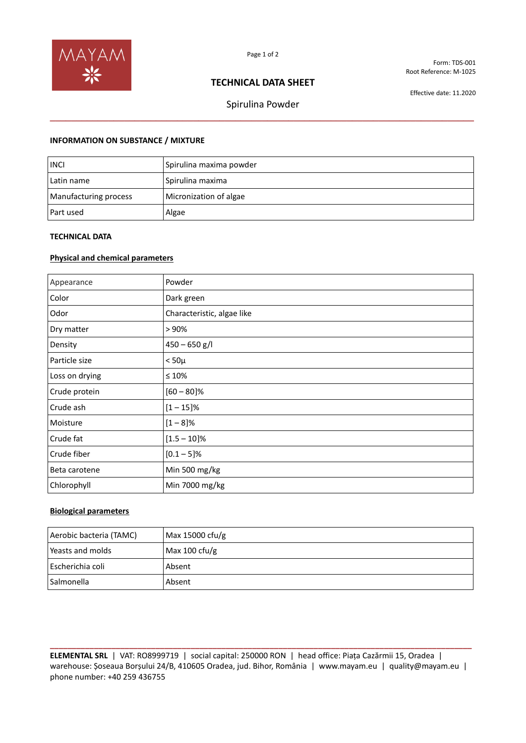

Form: TDS-001 Root Reference: M-1025

# **TECHNICAL DATA SHEET**

Effective date: 11.2020

Spirulina Powder **\_\_\_\_\_\_\_\_\_\_\_\_\_\_\_\_\_\_\_\_\_\_\_\_\_\_\_\_\_\_\_\_\_\_\_\_\_\_\_\_\_\_\_\_\_\_\_\_\_\_\_\_\_\_\_\_\_\_\_\_\_\_\_\_\_\_\_\_\_\_\_\_\_\_\_\_\_\_\_\_**

### **INFORMATION ON SUBSTANCE / MIXTURE**

| <b>INCI</b>           | Spirulina maxima powder |
|-----------------------|-------------------------|
| Latin name            | Spirulina maxima        |
| Manufacturing process | Micronization of algae  |
| Part used             | Algae                   |

## **TECHNICAL DATA**

### **Physical and chemical parameters**

| Appearance     | Powder                     |
|----------------|----------------------------|
| Color          | Dark green                 |
| Odor           | Characteristic, algae like |
| Dry matter     | > 90%                      |
| Density        | $450 - 650$ g/l            |
| Particle size  | $< 50\mu$                  |
| Loss on drying | ≤ 10%                      |
| Crude protein  | $[60 - 80]\%$              |
| Crude ash      | $[1 - 15]$ %               |
| Moisture       | $[1 - 8]$ %                |
| Crude fat      | $[1.5 - 10]\%$             |
| Crude fiber    | $[0.1 - 5]$ %              |
| Beta carotene  | Min 500 mg/kg              |
| Chlorophyll    | Min 7000 mg/kg             |

### **Biological parameters**

| Aerobic bacteria (TAMC) | Max 15000 cfu/g |
|-------------------------|-----------------|
| Yeasts and molds        | Max 100 $ctu/g$ |
| Escherichia coli        | Absent          |
| <b>Salmonella</b>       | Absent          |

**\_\_\_\_\_\_\_\_\_\_\_\_\_\_\_\_\_\_\_\_\_\_\_\_\_\_\_\_\_\_\_\_\_\_\_\_\_\_\_\_\_\_\_\_\_\_\_\_\_\_\_\_\_\_\_\_\_\_\_\_\_\_\_\_\_\_\_\_\_\_\_\_\_\_\_\_\_\_\_\_\_\_\_\_\_\_\_\_\_\_\_\_\_\_\_\_ ELEMENTAL SRL** | VAT: RO8999719 | social capital: 250000 RON | head office: Piața Cazărmii 15, Oradea | warehouse: Șoseaua Borșului 24/B, 410605 Oradea, jud. Bihor, România | www.mayam.eu | quality@mayam.eu | phone number: +40 259 436755